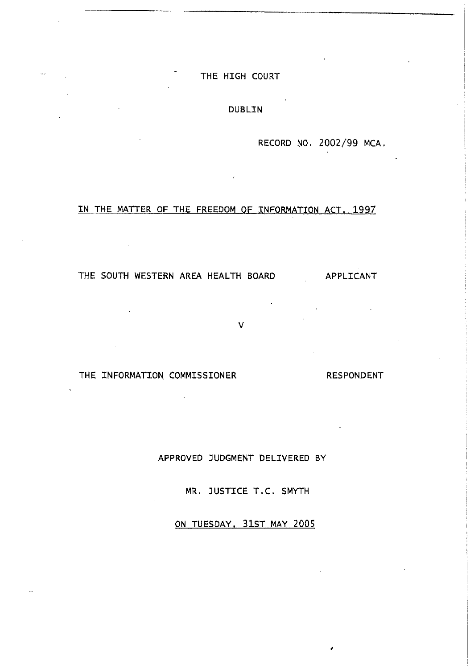## THE HIGH COURT

## DUBLIN

RECORD N0, 2002/99 MCA.

## IN THE MATTER OF THE FREEDOM OF INFORMATION ACT, 1997

THE SOUTH WESTERN AREA HEALTH BOARD APPLICANT

 $\overline{\phantom{a}}$ 

THE INFORMATION COMMISSIONER RESPONDENT

APPROVED JUDGMENT DELIVERED BY

v

MR. JUSTICE T.C. SMYTH

ON TUESDAY, 31ST MAY 2005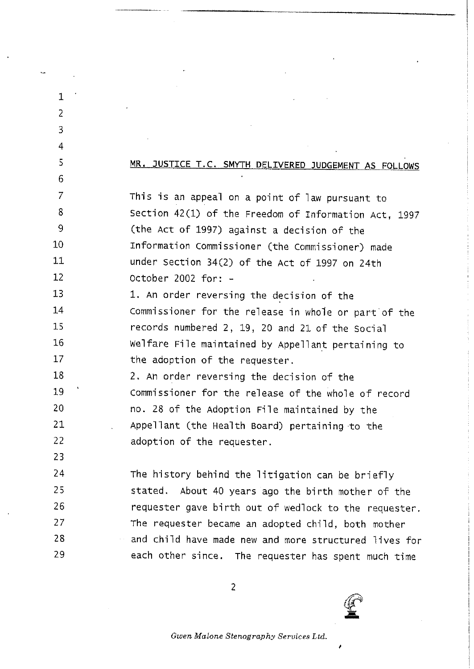| 1              |                                                       |  |
|----------------|-------------------------------------------------------|--|
| $\overline{2}$ |                                                       |  |
| 3              |                                                       |  |
| 4              |                                                       |  |
| 5              | MR. JUSTICE T.C. SMYTH DELIVERED JUDGEMENT AS FOLLOWS |  |
| 6              |                                                       |  |
| 7              | This is an appeal on a point of law pursuant to       |  |
| 8              | Section 42(1) of the Freedom of Information Act, 1997 |  |
| 9              | (the Act of 1997) against a decision of the           |  |
| 10             | Information Commissioner (the Commissioner) made      |  |
| 11             | under Section 34(2) of the Act of 1997 on 24th        |  |
| 12             | October 2002 for: -                                   |  |
| 13             | 1. An order reversing the decision of the             |  |
| 14             | Commissioner for the release in whole or part of the  |  |
| 15             | records numbered 2, 19, 20 and 21 of the Social       |  |
| 16             | Welfare File maintained by Appellant pertaining to    |  |
| 17             | the adoption of the requester.                        |  |
| 18             | 2. An order reversing the decision of the             |  |
| 19             | Commissioner for the release of the whole of record   |  |
| 20             | no. 28 of the Adoption File maintained by the         |  |
| 21             | Appellant (the Health Board) pertaining to the        |  |
| 22             | adoption of the requester.                            |  |
| 23             |                                                       |  |
| 24             | The history behind the litigation can be briefly      |  |
| 25             | stated. About 40 years ago the birth mother of the    |  |
| 26             | requester gave birth out of wedlock to the requester. |  |
| 27             | The requester became an adopted child, both mother    |  |
| 28             | and child have made new and more structured lives for |  |
| 29             | each other since. The requester has spent much time   |  |
|                |                                                       |  |

2

 $\pmb{\prime}$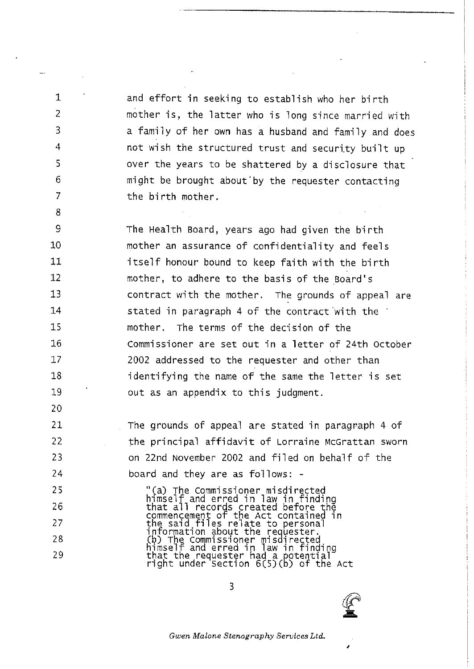and effort in seeking to establish who her birth mother is, the latter who is long since married with a family of her own has a husband and family and does not wish the structured trust and security built up over the years to be shattered by a disclosure that might be brought about by the requester contacting the birth mother.

 $\mathbf 1$ 

 $\overline{2}$ 

3

4

 $\overline{\mathbf{S}}$ 

6

 $\overline{7}$ 

8

20

21

22

23

24

25

26

27

28 29

9 The Health Board, years ago had given the birth 10 mother an assurance of confidentiality and feels  $11$ itself honour bound to keep faith with the birth  $12$ mother, to adhere to the basis of the Board's  $13$ contract with the mother. The grounds of appeal are 14 stated in paragraph 4 of the contract with the  $15$ mother. The terms of the decision of the 16 Commissioner are set out in a letter of 24th October 17 2002 addressed to the requester and other than 18 identifying the name of the same the letter is set 19 out as an appendix to this judgment.

> The grounds of appeal are stated in paragraph 4 of the principal affidavit of Lorraine McGrattan sworn on 22nd November 2002 and filed on behalf of the board and they are as follows: -

"(a) The Commissioner misdirected<br>himself and erred in law in finding<br>that all records created before the<br>commencement of the Act contained in<br>the said files relate to personal<br>information about the requester.<br>(b) The Com

 $\overline{\mathbf{3}}$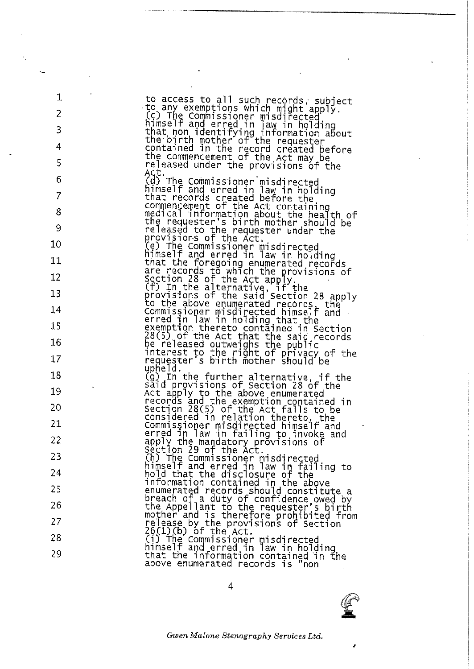| $\mathbf 1$                                                                                                |                                                                                                                                                               |
|------------------------------------------------------------------------------------------------------------|---------------------------------------------------------------------------------------------------------------------------------------------------------------|
| 2                                                                                                          | to access to all such records, subject<br>to any exemptions which might apply.                                                                                |
|                                                                                                            | (c) The Commissioner misdirected<br>himself and erred in law in holding                                                                                       |
| 3                                                                                                          | that non identifying information about<br>the birth mother of the requester                                                                                   |
| 4                                                                                                          | contained in the record created before                                                                                                                        |
| 5                                                                                                          | the commencement of the Act may be<br>released under the provisions of the                                                                                    |
| 6                                                                                                          | Act.<br>(d) The Commissioner misdirected                                                                                                                      |
| $\overline{7}$                                                                                             | himself and erred in law in holding<br>that records created before the                                                                                        |
| 8                                                                                                          | commencement of the Act containing<br>medical information about the health of                                                                                 |
| 9                                                                                                          | the requester's birth mother should be<br>released to the requester under the                                                                                 |
| 10                                                                                                         | provisions of the Act.<br>(e) The Commissioner misdirected                                                                                                    |
| 11                                                                                                         | himself and erred in law in holding                                                                                                                           |
| 12                                                                                                         | that the foregoing enumerated records<br>are records to which the provisions of<br>Section 28 of the Act apply.<br>(f) In the alternative, if the             |
|                                                                                                            |                                                                                                                                                               |
| 13                                                                                                         | provisions of the said Section 28 apply                                                                                                                       |
| 14                                                                                                         | to the above enumerated records, the<br>Commissioner misdirected himself and                                                                                  |
| 15                                                                                                         | erred in Taw in holding that the<br>exemption thereto contained in Section<br>28(5) of the Act that the said records                                          |
| 16                                                                                                         |                                                                                                                                                               |
|                                                                                                            | be released outweighs the public<br>interest to the right of privacy of the                                                                                   |
| 17                                                                                                         | requester's birth mother should be<br>upfield.                                                                                                                |
| 18                                                                                                         | (g) In the further alternative, if the<br>said provisions of Section 28 of the                                                                                |
| $\mathbf{v} = \left\{ \begin{array}{ll} 0 & \text{if} \ \mathbf{v} = \mathbf{v} \end{array} \right.$<br>19 | Act apply to the above enumerated                                                                                                                             |
| 20                                                                                                         | records and the exemption contained in<br>Section 28(5) of the Act falls to be<br>considered in relation thereto, the<br>commissioner misdirected himself and |
| 21                                                                                                         |                                                                                                                                                               |
|                                                                                                            | erred in law in failing to invoke and                                                                                                                         |
| 22                                                                                                         | apply the mandatory provisions of<br>section 29 of the Act.                                                                                                   |
| 23                                                                                                         |                                                                                                                                                               |
| 24                                                                                                         | (h) The Commissioner misdirected<br>himself and erred in law in failing to<br>hold that the disclosure of the                                                 |
| 25                                                                                                         | information contained in the above                                                                                                                            |
| 26                                                                                                         | enumerated records should constitute a<br>breach of a duty of confidence owed by                                                                              |
| 27                                                                                                         | the Appellant to the requester's birth<br>mother and is therefore prohibited from<br>release by the provisions of Section<br>26(1)(b) of the Act.             |
| 28                                                                                                         |                                                                                                                                                               |
|                                                                                                            | (i) The Commissioner misdirected                                                                                                                              |
| 29                                                                                                         | himself and erred in law in holding<br>that the information contained in the<br>above enumerated records is "non                                              |

 $\overline{4}$ 



ł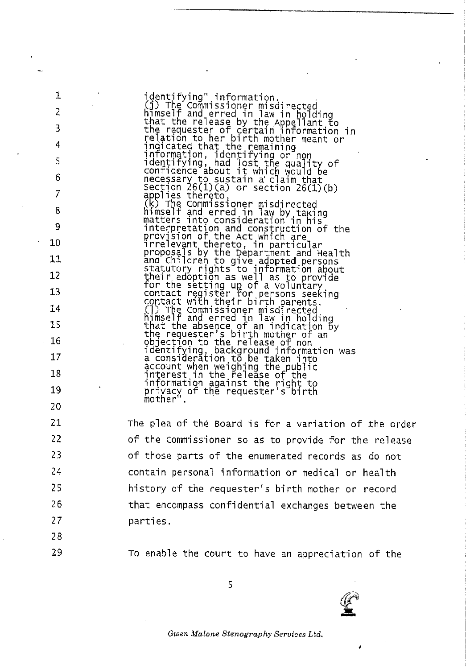identifying" information.<br>
(j) The Commissioner misdirected<br>
himself and erred in law in holding<br>
that the release by the Appellant to<br>
the requester of certain information in<br>
relation to her birth mother meant or<br>
indica comminance about it which would be<br>necessary to sustain a claim that<br>Section 26(1)(a) or section 26(1)(b)<br>applies thereto,<br>(k) The Commissioner misdirected<br>himself and erred in law by taking<br>matters into consideration in h number and erred In Taw by taking<br>interpretation and construction of the<br>provision of the Act which are<br>irrelevant thereto, in particular<br>proposals by the Department and Health<br>and Children to give adopted persons<br>statutor

The plea of the Board is for a variation of the order of the Commissioner so as to provide for the release of those parts of the enumerated records as do not contain personal information or medical or health history of the requester's birth mother or record that encompass confidential exchanges between the parties.

 $\mathbf{1}$ 

 $\overline{2}$ 

 $\overline{3}$ 

To enable the court to have an appreciation of the

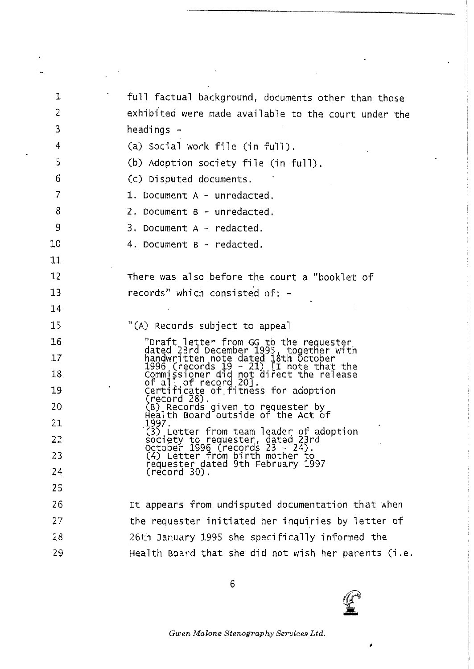| 1  | full factual background, documents other than those                                                                                                                                                                                              |
|----|--------------------------------------------------------------------------------------------------------------------------------------------------------------------------------------------------------------------------------------------------|
| 2  | exhibited were made available to the court under the                                                                                                                                                                                             |
| 3  | headings -                                                                                                                                                                                                                                       |
| 4  | (a) Social work file (in full).                                                                                                                                                                                                                  |
| 5  | (b) Adoption society file (in full).                                                                                                                                                                                                             |
| 6  | (c) Disputed documents.                                                                                                                                                                                                                          |
| 7  | 1. Document $A -$ unredacted,                                                                                                                                                                                                                    |
| 8  | 2. Document B - unredacted.                                                                                                                                                                                                                      |
| 9  | $3.$ Document A $-$ redacted.                                                                                                                                                                                                                    |
| 10 | 4. Document B - redacted.                                                                                                                                                                                                                        |
| 11 |                                                                                                                                                                                                                                                  |
| 12 | There was also before the court a "booklet of                                                                                                                                                                                                    |
| 13 | records" which consisted of: -                                                                                                                                                                                                                   |
| 14 |                                                                                                                                                                                                                                                  |
| 15 | "(A) Records subject to appeal                                                                                                                                                                                                                   |
| 16 |                                                                                                                                                                                                                                                  |
| 17 |                                                                                                                                                                                                                                                  |
| 18 |                                                                                                                                                                                                                                                  |
| 19 | "Draft letter from GG to the requester<br>dated 23rd December 1995, together with<br>handwritten note dated 18th October<br>1996 (records 19 - 21) [I note that the<br>Commissioner did not direct the release<br>of all of record 20].<br>Certi |
| 20 | (B) Records given to requester by<br>Health Board outside of the Act of                                                                                                                                                                          |
| 21 | 1997.<br>(3) Letter from team leader of adoption                                                                                                                                                                                                 |
| 22 |                                                                                                                                                                                                                                                  |
| 23 | society to requester, dated 23rd<br>October 1996 (records 23 - 24).<br>(4) Letter from birth mother to<br>requester dated 9th February 1997                                                                                                      |
| 24 | $(record 30)$ .                                                                                                                                                                                                                                  |
| 25 |                                                                                                                                                                                                                                                  |
| 26 | It appears from undisputed documentation that when                                                                                                                                                                                               |
| 27 | the requester initiated her inquiries by letter of                                                                                                                                                                                               |
| 28 | 26th January 1995 she specifically informed the                                                                                                                                                                                                  |
| 29 | Health Board that she did not wish her parents (i.e.                                                                                                                                                                                             |
|    |                                                                                                                                                                                                                                                  |

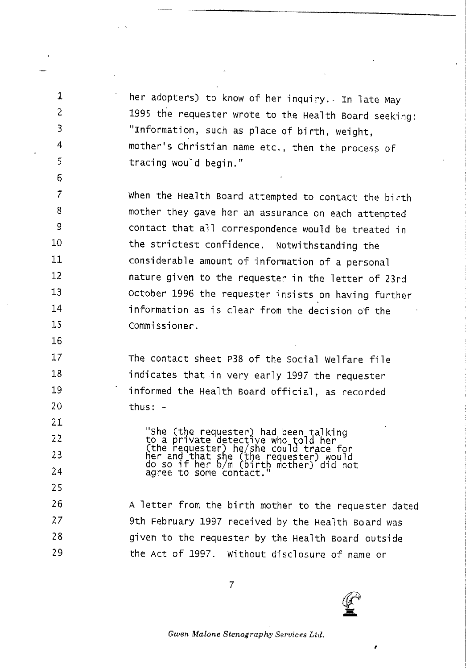<sup>1</sup> her adopters) to know of her inquiry. In late May 1995 the requester wrote to the Health Board seeking: "Information, such as p1ace of birth, weight, mother's Christian name etc., then the process of tracing would begin."

7 8 9 10 11 12 13 14 15 When the Health Board attempted to contact the birth mother they gave her an assurance on each attempted contact that a11 correspondence wou1d be treated in the strictest confidence. Notwithstanding the considerab1e amount of information of a persona1 nature given to the requester in the letter of 23rd October 1996 the requester insists on having further information as is clear from the decision of the COmmi ssioner.

2

3

4

5

6

16

17

18

19

20

The contact sheet P38 of the Social Welfare file 'indicates that in very ear1y 1997 the requester informed the Health Board official, as recorded thus:  $-$ 

21 22 23 24 25 26 27 28 29 "She (the requester) had been talkir<br>to a private detective who told her (the requester) he/she could trace fo her and that she (the requester) would<br>do so if bog b/m (bigth mathem) vou do so it her b/m (birth mother) did not<br>agree to some contact." <sup>A</sup> letter from the b'irth mother to the requester dated 9th February 1997 received by the Health Board was given to the requester by the Hea1th Board outside the Act of 1997. W'ithout disc1osure of name or

7

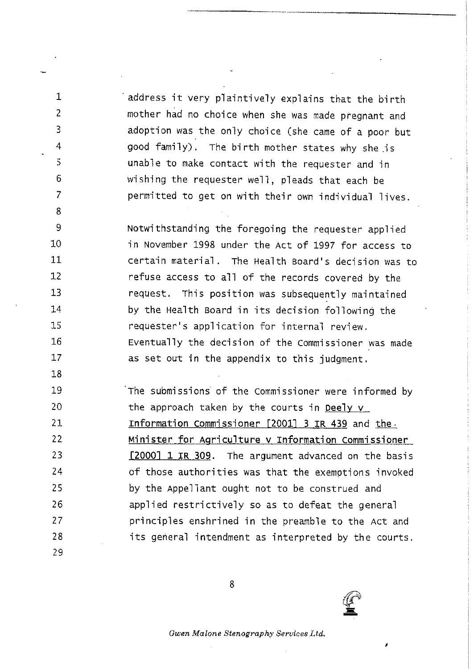1 address it very plaintive1y exp1ains that the birth mother had no choice when she was made pregnant and adoption was the only choice (she came of a poor but good family). The birth mother states why she is unab1e to make contact w'ith the requester and in wishing the requester well, pleads that each be permitted to get on with their own individual lives.

2

3

4

5

6

7

8

18

9 10 11 12 13 14 15 16 17 Notwithstanding the foregoing the requester applied in November 1998 under the Act of 1997 for access to certain material. The Health Board's decision was to refuse access to all of the records covered by the request. This position was subsequently maintained by the Health Board in its decision following the requester's application for internal review. Eventually the decision of the Commissioner was made as set out in the appendix to this judgment.

19 20 21 22 23 24 25 26 27 28 29 The submissions of the Commissioner were informed by the approach taken by the courts in Deely v Information Commissioner  $[2001]$  3 IR 439 and the Minister for Aqricu1ture v Information Commissioner [2000] 1 IR 309. The argument advanced on the basis of those authorities was that the exemptions invoked by the Appel1ant ought not to be construed and applied restrictive1y so as to defeat the genera1 principles enshrined in the preamble to the Act and its general intendment as interpreted by the courts.

8

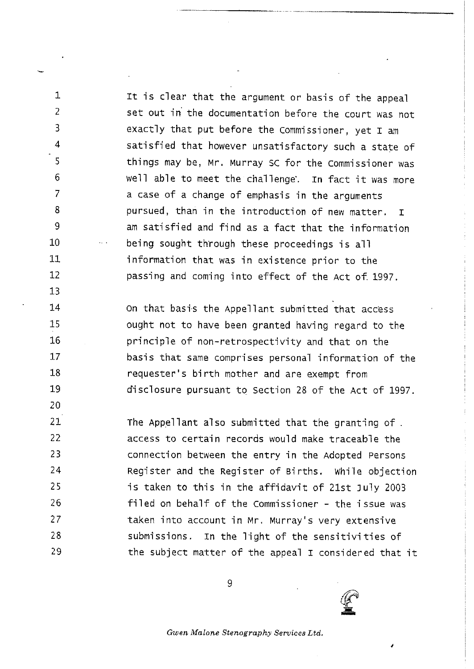1 1 It is clear that the argument or basis of the appeal set out in the documentation before the court was not exact1y that put before the Commissioner, yet I am satisfied that however unsatisfactory such a state of things may be, Mr. Murray SC for the Commiss'ioner was well able to meet the challenge. In fact it was more a case of a change of emphasis in the arguments pursued, than 'in the introduction of new matter. I am satisfied and find as a fact that the information being sought through these proceedings is all information that was in existence prior to the passing and coming into effect of the Act of 1997.

 $\overline{2}$ 

 $\overline{3}$ 

 $\overline{4}$ 

5

6  $\overline{7}$ 

8

9

10

11

 $12$ 

 $13$ 

14

15

16

 $17$ 

 $18$ 

19

20

On that basis the Appellant submitted that access ought not to have been granted having regard to the princip1e of non-retrospect'ivity and that on the basis that same comprises personal information of the requester's birth mother and are exempt from disclosure pursuant to Section 28 of the Act of 1997.

 $21$ The Appellant also submitted that the granting of. 22 access to certain records would make traceable the 23 connect'ion between the entry in the Adopted Persons  $24$ Register and the Register of Births. While objection is taken to this in the affidavit of 21st July 2003 25 26 filed on behalf of the Commissioner - the issue was  $27$ taken into account in Mr. Murray's very extensive 28 submissions. In the light of the sensitivities of 29 the subject matter of the appeal I considered that it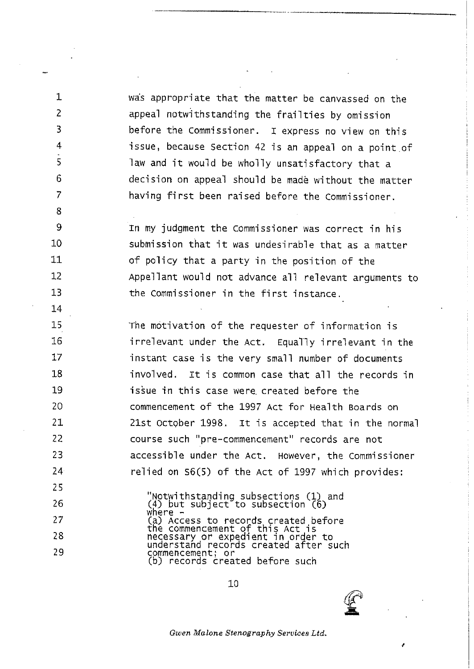was appropriate that the matter be canvassed on the appea1 notwithstanding the frai1ties by omission before the Commissioner. I express no view on this issue, because Section 42 is an appeal on a point of law and it would be who11y unsatisfactory that a decision on appea1 should be made without the matter having first been raised before the Commissioner.

1

2

3

4

5

6

 $\overline{7}$ 

8 9

10 11

 $12$ 

13 14

29

28

25

26  $27$ 

zn my judgment the commissioner was correct in his submission that it was undesirab1e that as a matter of policy that a party in the position of the Appellant would not advance all relevant arguments to the Commissioner in the first instance.

rhe motivation of the requester of information is 15 'irre1evant under the Act, Equal1y irre1evant 'in the 16  $17$ instant case is the very small number of documents 18 invo1ved. It is common case that a11 the records 'in 19 issue in this case were created before the commencement of the 1997 Act for Hea1th Boards on 20 21st October 1998. It is accepted that in the norma1 21 22 course such "pre-commencement" records are not 23 accessible under the Act. However, the Commissioner  $24<sup>°</sup>$ re1ied on S6(5) of the Act of 1997 which provides:

> "Notwithstariding subsections (1) and (4) but subject to subsection (6 where (a) Access to records created, the commencement of this Act i necessary or expedient in order t understand records created after suc commencement; or (b) records created before such

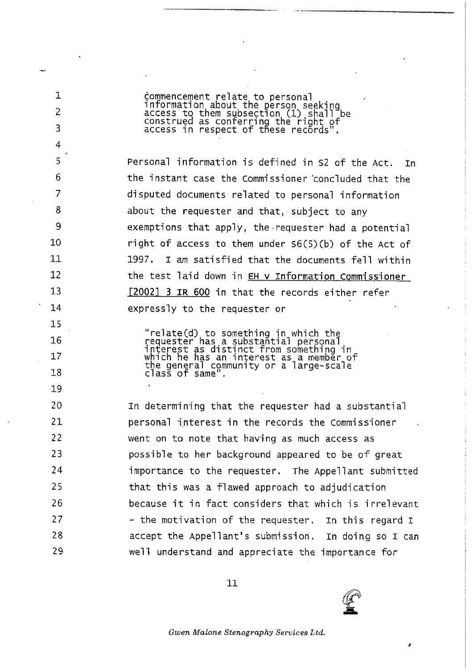commencement relate to personal<br>information about the person seeking<br>access to them subsection (1) shall be<br>construed as conferring the right of<br>access in respect of these records". 1  $\overline{2}$  $\overline{B}$  $\overline{4}$ 5 Personal information is defined in S2 of the Act. Tn 6 the instant case the Commissioner concluded that the 7 disputed documents related to personal information 8 about the requester and that, subject to any 9 exemptions that apply, the requester had a potential 10 right of access to them under S6(5)(b) of the Act of  $11$ I am satisfied that the documents fell within 1997.  $12$ the test laid down in EH v Information Commissioner  $13$ [2002] 3 IR 600 in that the records either refer  $14$ expressly to the requester or 15 "relate(d) to something in which the<br>requester has a substantial personal<br>interest as distinct from something in<br>which he has an interest as a member of<br>the general community or a large-scale<br>class of same". 16  $17$ 18  $19$ 20 In determining that the requester had a substantial  $21$ personal interest in the records the Commissioner 22 went on to note that having as much access as 23 possible to her background appeared to be of great 24 importance to the requester. The Appellant submitted 25 that this was a flawed approach to adjudication 26 because it in fact considers that which is irrelevant  $27$ - the motivation of the requester. In this regard I 28 accept the Appellant's submission. In doing so I can well understand and appreciate the importance for 29

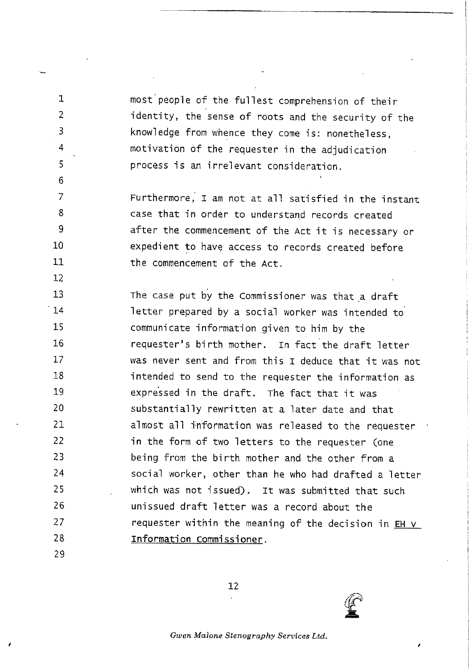most peop1e of the ful1est comprehension of the'ir 'identity, the sense of roots and the security of the knowledge from whence they come is: nonetheless, motivation of the requester 'in the adjudication process is an irre1evant consideration,

Furthermore. I am not at all satisfied in the instant case that in order to understand records created 9 after the commencement of the Act it is necessary or expedient to have access to records created before  $11$ the commencement of the Act.

13 The case put by the Commissioner was that a draft  $14$ letter prepared by a social worker was intended to 15 communicate information given to him by the 16 requester's birth mother. In fact the draft letter was never sent and from this I deduce that it was not  $17$ 18 'intended to send to the requester the information as 19 expressed in the draft. The fact that it was 20 substantia11y rewritten at a 1ater date and that  $21$ a1most a11 information was re1eased to the requester  $22$ in the form of two 1etters to the requester (one 23 being from the b'irth mother and the other from a 24 social worker, other than he who had drafted a letter which was not issued). It was submitted that such 25 unissued draft 1etter was a record about the 26  $27$ requester within the meaning of the decision in EH v 28 Information Commissioner.

29

 $\mathbf{1}$  $\overline{2}$ 

 $\overline{3}$ 

4

5

6  $\overline{7}$ 

8

10

 $12$ 

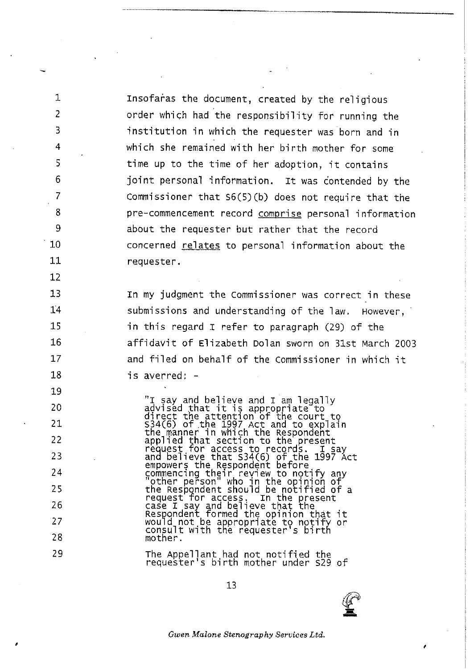Insofaras the document, created by the religious order which had the responsibility for running the institution in which the requester was born and in which she remained with her birth mother for some time up to the time of her adoption, it contains joint personal information. It was contended by the Commissioner that  $S(5)(b)$  does not require that the pre-commencement record comprise personal information about the requester but rather that the record concerned relates to personal information about the requester.

 $\mathbf{1}$ 

2

3

Δ

5

6

 $\overline{7}$ 

8

9

10

11

 $12<sup>2</sup>$ 

13

 $14$ 

15

16

17

18

19

20  $21$ 

22

23

24

25

26

 $27$ 

28

29

In my judgment the Commissioner was correct in these submissions and understanding of the law, However, in this regard I refer to paragraph (29) of the affidavit of Elizabeth Dolan sworn on 31st March 2003 and filed on behalf of the Commissioner in which it is averred: -

"I say and believe and I am legally<br>advised that it is appropriate to<br>direct the attention of the court to<br> $S34(6)$  of the 1997 Act and to explain<br>the manner in which the Respondent<br>applied that section to the present<br>req request for access. In the present<br>case I say and believe that the<br>Respondent formed the opinion that it<br>would not be appropriate to notify or<br>consult with the requester's birth mother.

The Appellant had not notified the<br>requester's birth mother under S29 of

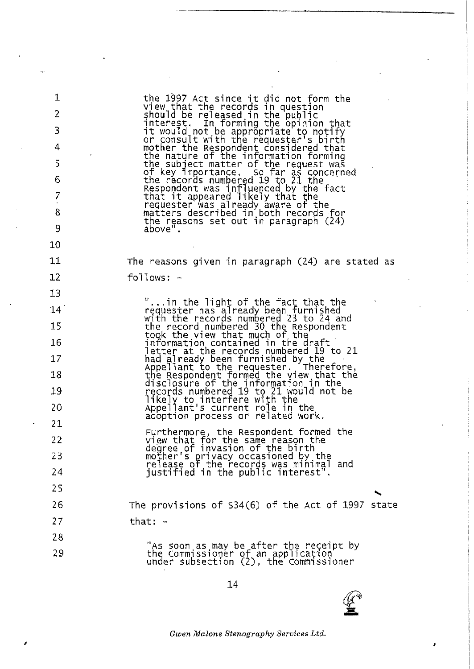| 1              | the 1997 Act since it did not form the                                                                                  |
|----------------|-------------------------------------------------------------------------------------------------------------------------|
| $\overline{2}$ | View that the records in question<br>should be released in the public                                                   |
| 3              | interest. In forming the opinion that<br>it would not be appropriate to notify                                          |
| 4              | or consult with the requester's birth<br>mother the Respondent considered that                                          |
| 5              | the nature of the information forming<br>the subject matter of the request was                                          |
| 6              | of key importance. So far as concerned<br>the records numbered 19 to 21 the                                             |
| $\overline{7}$ | Respondent was influenced by the fact<br>that it appeared likely that the                                               |
| 8              | requester was already aware of the<br>matters described in both records for                                             |
| 9              | the reasons set out in paragraph $(24)$<br>above".                                                                      |
| 10             |                                                                                                                         |
| 11             | The reasons given in paragraph $(24)$ are stated as                                                                     |
| 12             | $f$ ollows: $-$                                                                                                         |
| 13             |                                                                                                                         |
| 14             | "in the light of the fact that the<br>requester has already been furnished<br>with the records numbered 23 to 24 and    |
| 15             | the record numbered 30 the Respondent                                                                                   |
| 16             | took the view that much of the<br>information contained in the draft                                                    |
| 17             | etter at the records numbered 19 to 21[<br>had already been furnished by the<br>Appellant to the requester. Therefore,  |
| 18             | the Respondent formed the view that the                                                                                 |
| 19             | disclosure of the information in the<br>records numbered 19 to 21 would not be                                          |
| 20             | likely to interfere with the<br>Appellant's current role in the                                                         |
| 21             | adoption process or related work.                                                                                       |
| 22             | Furthermore, the Respondent formed the<br>view that for the same reason the<br>degree of invasion of the birth          |
| 23             |                                                                                                                         |
| 24             | mother's' privacy occasioned by the<br>release of the records was minimal and<br>justified in the public interest".     |
| 25             |                                                                                                                         |
| 26             | The provisions of $534(6)$ of the Act of 1997 state                                                                     |
| 27             | that: $-$                                                                                                               |
| 28             |                                                                                                                         |
| 29             | "As soon as may be after the receipt by<br>the Commissioner of an application<br>under subsection (2), the Commissioner |

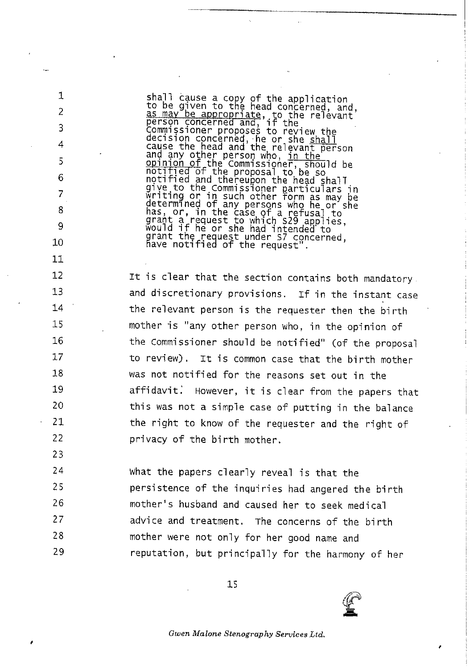shall cause a copy of the application<br>to be given to the head concerned, and,<br>as may be appropriate, to the relevant<br>person concerned and, if the as may be appropriate, to the relevant<br>person concerned and, if the<br>commissioner proposes to review the<br>decision concerned, he or she shall<br>cause the head and the relevant person<br>and any other person who, in the<br>opinion of notified and thereupon the head shall<br>give to the Commissioner particulars in<br>writing or in such other form as may be<br>determined of any persons who he or she<br>has, or, in the case of a refusal to<br>grant a request to which S2

1

 $\overline{2}$ 

3

4

 $\overline{5}$ 

6

7 8 9

10

 $11$ 

 $12$ 

 $13$ 

14

15

16

17

18

19

20

21

22

23

It is clear that the section contains both mandatory. and discretionary provisions. If in the instant case the relevant person is the requester then the birth mother is "any other person who, in the opinion of the Commissioner should be notified" (of the proposal to review). It is common case that the birth mother was not notified for the reasons set out in the However, it is clear from the papers that affidavit. this was not a simple case of putting in the balance the right to know of the requester and the right of privacy of the birth mother.

24 what the papers clearly reveal is that the 25 persistence of the inquiries had angered the birth 26 mother's husband and caused her to seek medical 27 advice and treatment. The concerns of the birth 28 mother were not only for her good name and 29 reputation, but principally for the harmony of her

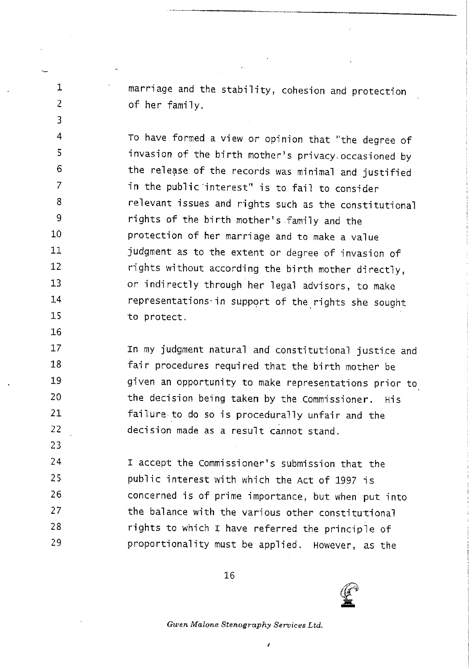<sup>1</sup> marriage and the stability, cohesion and protection of her fami1y.

2

3

4

5

6 7

8 g

10 11

12

13

14

15 16 17

18

19

20

21

22

23

To have formed a view or opinion that "the degree of invasion of the birth mother's privacy occasioned by the release of the records was minimal and justified in the public interest" is to fail to consider re1evant issues and rights such as the constitutiona1 rights of the birth mother's family and the protection of her marriage and to make a value judgment as to the extent or degree of invasion of rights without according the birth mother directly, or indirectly through her legal advisors, to make representations in support of the rights she sought to protect.

In my judgment natura1 and constitut'iona1 justice and fair procedures required that the birth mother be given an opportunity to make representations prior to the decision being taken by the Commissioner. His failure to do so is procedurally unfair and the decision made as a result cannot stand.

24 25 26 27 28 29 I accept the Commissioner's submission that the public interest with which the Act of 1997 is concerned is of prime importance, but when put into the balance with the various other constitutional rights to which I have referred the principle of proportionality must be app1ied. However, as the

16

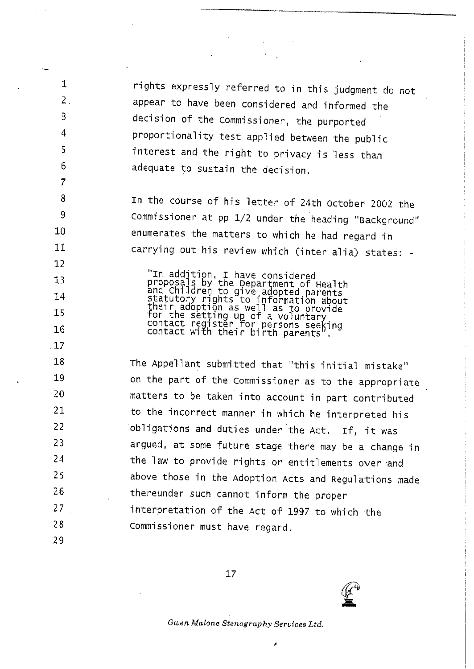rights expressly referred to in this judgment do not appear to have been considered and informed the decision of the Commissioner, the purported proportionality test applied between the public 'interest and the right to privacy is 1ess than adequate to sustain the decision.

In the course of his 1etter of 24th October <sup>2002</sup> the Commissioner at pp 1/2 under the heading "Background" enumerates the matters to which he had regard in carrying out his review which (inter alia) states: -

 $\mathbb{T}$ n addition, I have conside proposals by the Department of Heal and Children to give adopted, their adoption as well as to provide for the setting up of a voluntary<br>contact register for persons seeki<br>contact with their regisons seeki contact with their birth parents".

The Appellant submitted that "this initial mistake" on the part of the commissioner as to the appropriate matters to be taken into account in part contributed to the incorrect manner in which he interpreted his obligations and duties under the Act. If, it was argued, at some future stage there may be <sup>a</sup> change in the law to provide rights or entitlements over and above those in the Adoption Acts and Regulations made thereunder such cannot inform the proper 'interpretation of the Act of <sup>1997</sup> to which the Commissioner must have regard.

29

10

 $\mathbf{1}$ 

 $\overline{2}$ .

3

4

5

6  $\overline{7}$ 

8 9

11

12 13

14

15

16

17

18

19

20

21

22

24

23

25

26

27

28

17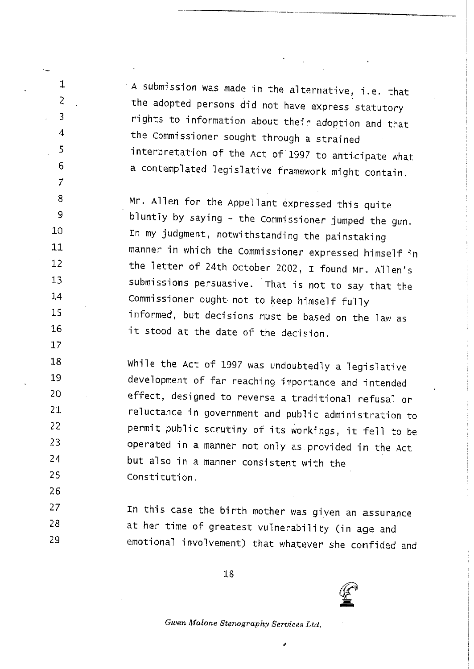$\cdot$  A submission was made in the alternative, i.e. that the adopted persons did not have express statutory rights to information about their adoption and that the Commissioner sought through <sup>a</sup> strained interpretation of the Act of 1997 to anticipate what a contemplated legislative framework might contain.

1

2

3

4

5

6

 $\overline{7}$ 

8  $\mathbf Q$ 

 $10$ 

 $11$ 

 $12$ 

 $13$ 

14

15

16

 $17$ 

26

Mr. A11en for the Appe11ant expressed this quite blunt1y by say'ing - the Commissioner jumped the gun, In my judgment, notwithstanding the painstaking manner in which the Commissioner expressed himsejf in the letter of 24th October 2002, I found Mr. Allen's submissions persuasive. "rhat is not to say that the Commissioner ought not to keep himself fully informed, but decisions must be based on the law as it stood at the date of the decision.

18 While the Act of 1997 was undoubtedly a legislative 19 development of far reaching importance and intended 20 effect, designed to reverse a traditional refusal or 21 reluctance in government and public administration to  $22$ permit public scrutiny of its workings, it fell to be 23 operated in a manner not only as provided in the Act 24 but a1so in <sup>a</sup> manner consistent with the 25 Constitution.

 $27$ In this case the birth mother was given an assurance 28 at her time of greatest vulnerability (in age and 29 emotional invo1vement) that whatever she confided and

18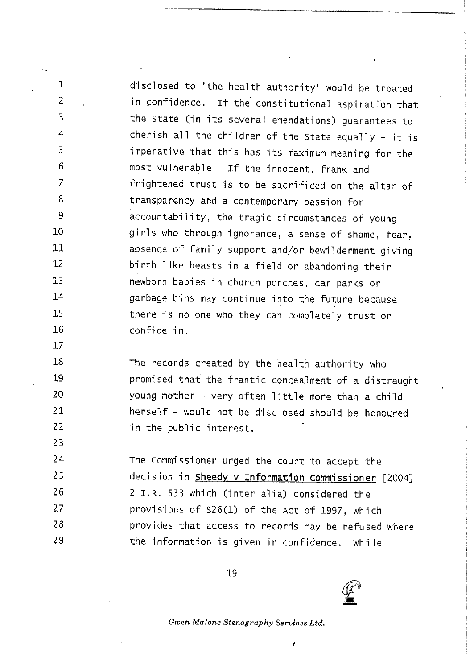d'isclosed to 'the health authority' would be treated in confidence. If the constitutiona1 aspiration that the state (in its several emendations) guarantees to cherish all the children of the State equally - it is imperative that this has its maximum meaning for the most vulnerable. If the innocent, frank and frightened trust is to be sacrificed on the a1tar of transparency and a contemporary passion for accountabi1'ity, the tragic circumstances of young girls who through ignorance, a sense of shame, fear, absence of family support and/or bewilderment giving birth like beasts in a field or abandoning their newborn bab'ies in church porches, car parks or garbage bins may continue into the future because there is no one who they can complete1y trust or confide in.

 $\mathbf{1}$  $\overline{2}$ 

 $\overline{3}$ 

4

5

6

 $\overline{7}$ 

8

9

 $10<sub>10</sub>$ 

11

 $12<sup>°</sup>$ 

 $13$ 

14

15

16  $17$ 

18

19

20

21 22

23

The records created by the health authority who promised that the frantic concealment of a distraught young mother - very often 1itt1e more than a chi1d  $herself - would not be discussed should be
$$
hons.
$$$ in the public interest.

24 The Commissioner urged the court to accept the 25 decision in Sheedy v Information Commissioner [2004] 26 2 I.R. 533 which (inter a1ia) considered the  $27$ provisions of 526(1) of the Act of 1997, which 28 provides that access to records may be refused where 29 the information is given in confidence. While

19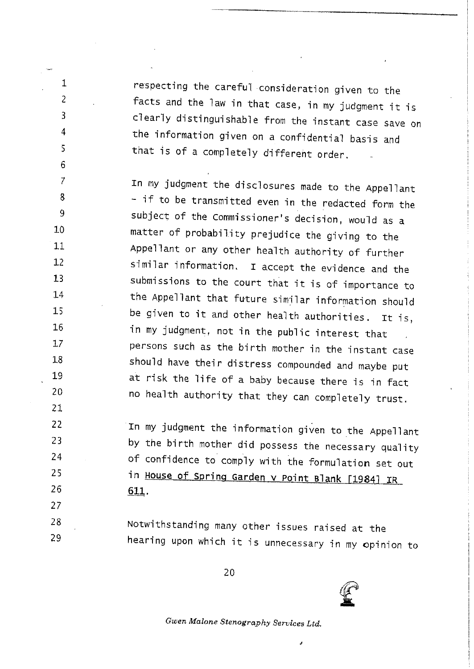respecting the carefu1 consideration given to the facts and the 1aw in that case, in my judgment it is clearly distinguishable from the instant case save on the information given on a confidential basis and that is of <sup>a</sup> complete1y different order.

 $\mathbf{1}$ 

 $\overline{c}$ 

 $\overline{3}$ 

4

5

6  $\overline{7}$ 

8

9

10

 $11$  $12$ 

 $13$ 

 $14$ 

 $15$ 

16

 $17$ 

18

19 20

21

22

23

24

25

26

27

In my judgment the disclosures made to the Appellant  $-$  if to be transmitted even in the redacted form the subject of the Commissioner's decision, would as a matter of probabi1ity prejudice the giving to the Appel1ant or any other health authority of further similar information. I accept the evidence and the submissions to the court that it is of importance to the Appellant that future similar information should be given to it and other hea1th authorities. It is, -in my judgment, not in the pub1ic interest that persons such as the birth mother in the instant case shou1d have their distress compounded and maybe put at risk the life of a baby because there is in fact no hea1th authority that they can comp1ete1y trust.

In my judgment the information given to the Appellant by the birth mother did possess the necessary qua1ity of confidence to comp1y w'ith the formulation set out in House of Spring Garden v Point Blank [1984] IR 611.

28 Notwithstanding many other issues raised at the 29 hearing upon which it is unnecessary in my opinion to

20

J.